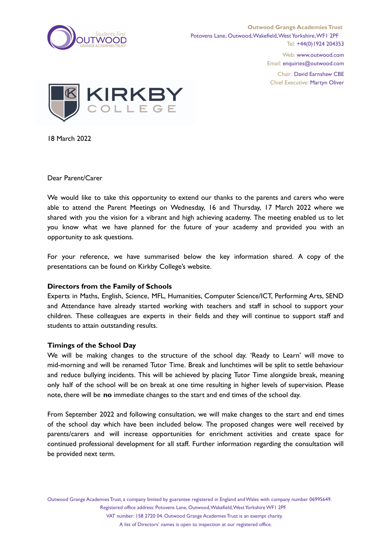

Web: www.outwood.com Email: enquiries@outwood.com

Chair: David Earnshaw CBE Chief Executive: Martyn Oliver



18 March 2022

Dear Parent/Carer

We would like to take this opportunity to extend our thanks to the parents and carers who were able to attend the Parent Meetings on Wednesday, 16 and Thursday, 17 March 2022 where we shared with you the vision for a vibrant and high achieving academy. The meeting enabled us to let you know what we have planned for the future of your academy and provided you with an opportunity to ask questions.

For your reference, we have summarised below the key information shared. A copy of the presentations can be found on Kirkby College's website.

## **Directors from the Family of Schools**

Experts in Maths, English, Science, MFL, Humanities, Computer Science/ICT, Performing Arts, SEND and Attendance have already started working with teachers and staff in school to support your children. These colleagues are experts in their fields and they will continue to support staff and students to attain outstanding results.

## **Timings of the School Day**

We will be making changes to the structure of the school day. 'Ready to Learn' will move to mid-morning and will be renamed Tutor Time. Break and lunchtimes will be split to settle behaviour and reduce bullying incidents. This will be achieved by placing Tutor Time alongside break, meaning only half of the school will be on break at one time resulting in higher levels of supervision. Please note, there will be **no** immediate changes to the start and end times of the school day.

From September 2022 and following consultation, we will make changes to the start and end times of the school day which have been included below. The proposed changes were well received by parents/carers and will increase opportunities for enrichment activities and create space for continued professional development for all staff. Further information regarding the consultation will be provided next term.

Outwood Grange Academies Trust, a company limited by guarantee registered in England andWales with company number 06995649. Registered office address: Potovens Lane, Outwood, Wakefield, West Yorkshire WF1 2PF.

VAT number: 158 2720 04. Outwood Grange Academies Trust is an exempt charity.

A list of Directors' names is open to inspection at our registered office.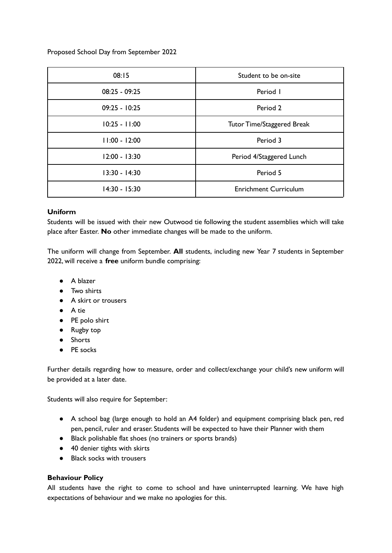Proposed School Day from September 2022

| 08:15           | Student to be on-site             |
|-----------------|-----------------------------------|
| $08:25 - 09:25$ | Period I                          |
| $09:25 - 10:25$ | Period 2                          |
| $10:25 - 11:00$ | <b>Tutor Time/Staggered Break</b> |
| $11:00 - 12:00$ | Period 3                          |
| $12:00 - 13:30$ | Period 4/Staggered Lunch          |
| 13:30 - 14:30   | Period 5                          |
| $14:30 - 15:30$ | <b>Enrichment Curriculum</b>      |

# **Uniform**

Students will be issued with their new Outwood tie following the student assemblies which will take place after Easter. **No** other immediate changes will be made to the uniform.

The uniform will change from September. **All** students, including new Year 7 students in September 2022, will receive a **free** uniform bundle comprising:

- A blazer
- Two shirts
- A skirt or trousers
- A tie
- PE polo shirt
- Rugby top
- Shorts
- PE socks

Further details regarding how to measure, order and collect/exchange your child's new uniform will be provided at a later date.

Students will also require for September:

- A school bag (large enough to hold an A4 folder) and equipment comprising black pen, red pen, pencil, ruler and eraser. Students will be expected to have their Planner with them
- Black polishable flat shoes (no trainers or sports brands)
- 40 denier tights with skirts
- Black socks with trousers

# **Behaviour Policy**

All students have the right to come to school and have uninterrupted learning. We have high expectations of behaviour and we make no apologies for this.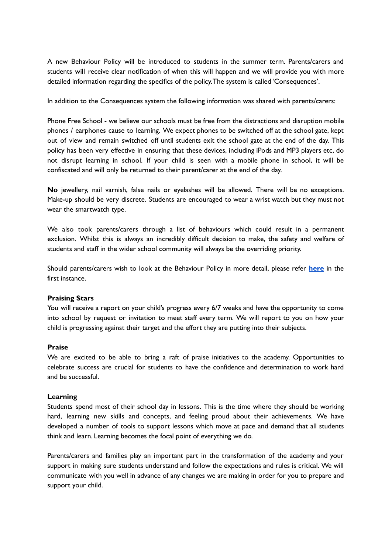A new Behaviour Policy will be introduced to students in the summer term. Parents/carers and students will receive clear notification of when this will happen and we will provide you with more detailed information regarding the specifics of the policy.The system is called 'Consequences'.

In addition to the Consequences system the following information was shared with parents/carers:

Phone Free School - we believe our schools must be free from the distractions and disruption mobile phones / earphones cause to learning. We expect phones to be switched off at the school gate, kept out of view and remain switched off until students exit the school gate at the end of the day. This policy has been very effective in ensuring that these devices, including iPods and MP3 players etc, do not disrupt learning in school. If your child is seen with a mobile phone in school, it will be confiscated and will only be returned to their parent/carer at the end of the day.

**No** jewellery, nail varnish, false nails or eyelashes will be allowed. There will be no exceptions. Make-up should be very discrete. Students are encouraged to wear a wrist watch but they must not wear the smartwatch type.

We also took parents/carers through a list of behaviours which could result in a permanent exclusion. Whilst this is always an incredibly difficult decision to make, the safety and welfare of students and staff in the wider school community will always be the overriding priority.

Should parents/carers wish to look at the Behaviour Policy in more detail, please refer **[here](https://static1.squarespace.com/static/5b3cc2548f5130df897ee8b8/t/617131b87aad8b78964fc5ff/1634808249840/OGAT+Behaviour+Policy+-+Secondary+academies+V5+%282%29.pdf)** in the first instance.

#### **Praising Stars**

You will receive a report on your child's progress every 6/7 weeks and have the opportunity to come into school by request or invitation to meet staff every term. We will report to you on how your child is progressing against their target and the effort they are putting into their subjects.

### **Praise**

We are excited to be able to bring a raft of praise initiatives to the academy. Opportunities to celebrate success are crucial for students to have the confidence and determination to work hard and be successful.

### **Learning**

Students spend most of their school day in lessons. This is the time where they should be working hard, learning new skills and concepts, and feeling proud about their achievements. We have developed a number of tools to support lessons which move at pace and demand that all students think and learn. Learning becomes the focal point of everything we do.

Parents/carers and families play an important part in the transformation of the academy and your support in making sure students understand and follow the expectations and rules is critical. We will communicate with you well in advance of any changes we are making in order for you to prepare and support your child.